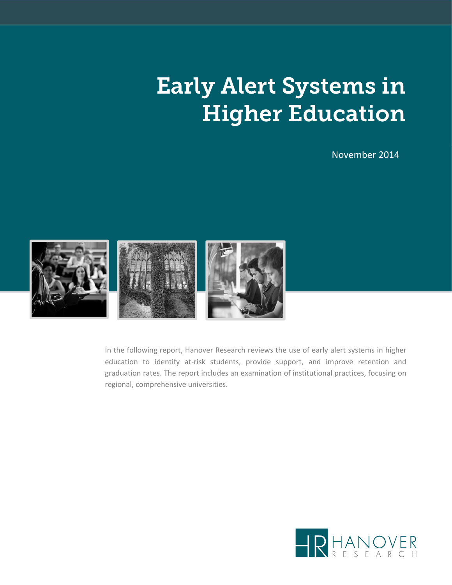# Early Alert Systems in Higher Education

November 2014



In the following report, Hanover Research reviews the use of early alert systems in higher education to identify at-risk students, provide support, and improve retention and graduation rates. The report includes an examination of institutional practices, focusing on regional, comprehensive universities.

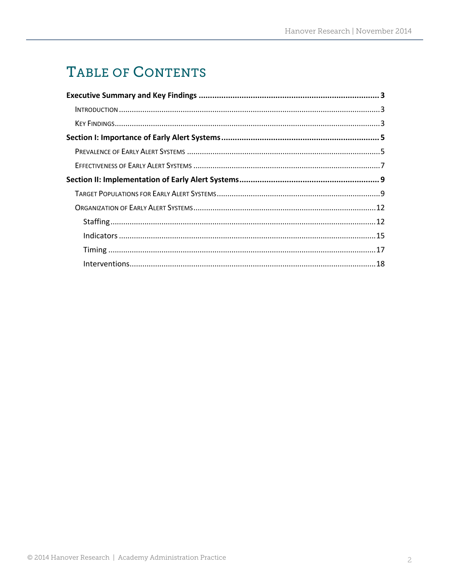# TABLE OF CONTENTS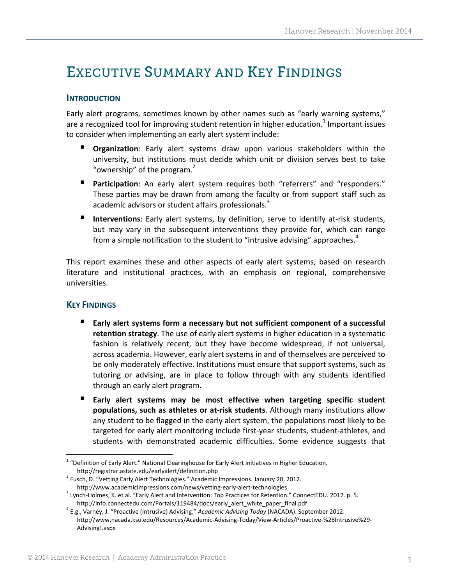### EXECUTIVE SUMMARY AND KEY FINDINGS

#### **INTRODUCTION**

Early alert programs, sometimes known by other names such as "early warning systems," are a recognized tool for improving student retention in higher education.<sup>1</sup> Important issues to consider when implementing an early alert system include:

- **Organization**: Early alert systems draw upon various stakeholders within the university, but institutions must decide which unit or division serves best to take "ownership" of the program.<sup>2</sup>
- **Participation**: An early alert system requires both "referrers" and "responders." These parties may be drawn from among the faculty or from support staff such as academic advisors or student affairs professionals.<sup>3</sup>
- **Interventions**: Early alert systems, by definition, serve to identify at-risk students, but may vary in the subsequent interventions they provide for, which can range from a simple notification to the student to "intrusive advising" approaches. $4$

This report examines these and other aspects of early alert systems, based on research literature and institutional practices, with an emphasis on regional, comprehensive universities.

#### **KEY FINDINGS**

- **Early alert systems form a necessary but not sufficient component of a successful retention strategy**. The use of early alert systems in higher education in a systematic fashion is relatively recent, but they have become widespread, if not universal, across academia. However, early alert systems in and of themselves are perceived to be only moderately effective. Institutions must ensure that support systems, such as tutoring or advising, are in place to follow through with any students identified through an early alert program.
- **Early alert systems may be most effective when targeting specific student populations, such as athletes or at‐risk students**. Although many institutions allow any student to be flagged in the early alert system, the populations most likely to be targeted for early alert monitoring include first‐year students, student‐athletes, and students with demonstrated academic difficulties. Some evidence suggests that

 $1$  "Definition of Early Alert." National Clearinghouse for Early Alert Initiatives in Higher Education. http://registrar.astate.edu/earlyalert/definition.php<br><sup>2</sup> Fusch, D. "Vetting Early Alert Technologies." Academic Impressions. January 20, 2012.

http://www.academicimpressions.com/news/vetting-early-alert-technologies<br>3 Lynch-Holmes, K. et al. "Early Alert and Intervention: Top Practices for Retention." ConnectEDU. 2012. p. 5.<br>http://info.connectedu.com/Portals/119

http://info.connectedu.com/Portals/119484/docs/early\_alert\_white\_paper\_final.pdf <sup>4</sup> E.g., Varney, J. "Proactive (Intrusive) Advising." *Academic Advising Today* (NACADA). September 2012. http://www.nacada.ksu.edu/Resources/Academic‐Advising‐Today/View‐Articles/Proactive‐%28Intrusive%29‐ Advising!.aspx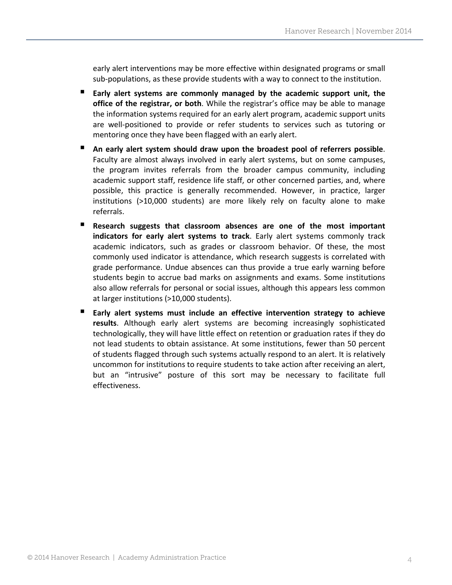early alert interventions may be more effective within designated programs or small sub‐populations, as these provide students with a way to connect to the institution.

- **Early alert systems are commonly managed by the academic support unit, the office of the registrar, or both**. While the registrar's office may be able to manage the information systems required for an early alert program, academic support units are well‐positioned to provide or refer students to services such as tutoring or mentoring once they have been flagged with an early alert.
- **An early alert system should draw upon the broadest pool of referrers possible**. Faculty are almost always involved in early alert systems, but on some campuses, the program invites referrals from the broader campus community, including academic support staff, residence life staff, or other concerned parties, and, where possible, this practice is generally recommended. However, in practice, larger institutions (>10,000 students) are more likely rely on faculty alone to make referrals.
- **Research suggests that classroom absences are one of the most important indicators for early alert systems to track**. Early alert systems commonly track academic indicators, such as grades or classroom behavior. Of these, the most commonly used indicator is attendance, which research suggests is correlated with grade performance. Undue absences can thus provide a true early warning before students begin to accrue bad marks on assignments and exams. Some institutions also allow referrals for personal or social issues, although this appears less common at larger institutions (>10,000 students).
- **Early alert systems must include an effective intervention strategy to achieve results**. Although early alert systems are becoming increasingly sophisticated technologically, they will have little effect on retention or graduation rates if they do not lead students to obtain assistance. At some institutions, fewer than 50 percent of students flagged through such systems actually respond to an alert. It is relatively uncommon for institutions to require students to take action after receiving an alert, but an "intrusive" posture of this sort may be necessary to facilitate full effectiveness.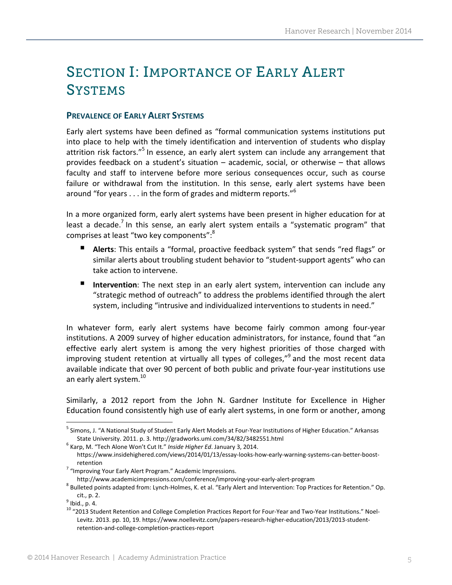## SECTION I: IMPORTANCE OF EARLY ALERT **SYSTEMS**

#### **PREVALENCE OF EARLY ALERT SYSTEMS**

Early alert systems have been defined as "formal communication systems institutions put into place to help with the timely identification and intervention of students who display attrition risk factors."<sup>5</sup> In essence, an early alert system can include any arrangement that provides feedback on a student's situation – academic, social, or otherwise – that allows faculty and staff to intervene before more serious consequences occur, such as course failure or withdrawal from the institution. In this sense, early alert systems have been around "for years  $\dots$  in the form of grades and midterm reports."<sup>6</sup>

In a more organized form, early alert systems have been present in higher education for at least a decade.<sup>7</sup> In this sense, an early alert system entails a "systematic program" that comprises at least "two key components":<sup>8</sup>

- **Alerts**: This entails a "formal, proactive feedback system" that sends "red flags" or similar alerts about troubling student behavior to "student-support agents" who can take action to intervene.
- **Intervention**: The next step in an early alert system, intervention can include any "strategic method of outreach" to address the problems identified through the alert system, including "intrusive and individualized interventions to students in need."

In whatever form, early alert systems have become fairly common among four‐year institutions. A 2009 survey of higher education administrators, for instance, found that "an effective early alert system is among the very highest priorities of those charged with improving student retention at virtually all types of colleges,"<sup>9</sup> and the most recent data available indicate that over 90 percent of both public and private four‐year institutions use an early alert system.<sup>10</sup>

Similarly, a 2012 report from the John N. Gardner Institute for Excellence in Higher Education found consistently high use of early alert systems, in one form or another, among

<sup>5</sup> Simons, J. "A National Study of Student Early Alert Models at Four‐Year Institutions of Higher Education." Arkansas State University. 2011. p. 3. http://gradworks.umi.com/34/82/3482551.html <sup>6</sup> Karp, M. "Tech Alone Won't Cut It." *Inside Higher Ed*. January 3, 2014.

https://www.insidehighered.com/views/2014/01/13/essay‐looks‐how‐early‐warning‐systems‐can‐better‐boost‐

retention<br><sup>7</sup> "Improving Your Early Alert Program." Academic Impressions.

http://www.academicimpressions.com/conference/improving-your-early-alert-program<br>8 Bulleted points adapted from: Lynch-Holmes, K. et al. "Early Alert and Intervention: Top Practices for Retention." Op.

cit., p. 2.<br><sup>9</sup> Ibid., p. 4.<br><sup>10</sup> "2013 Student Retention and College Completion Practices Report for Four-Year and Two-Year Institutions." Noel-Levitz. 2013. pp. 10, 19. https://www.noellevitz.com/papers-research-higher-education/2013/2013-studentretention‐and‐college‐completion‐practices‐report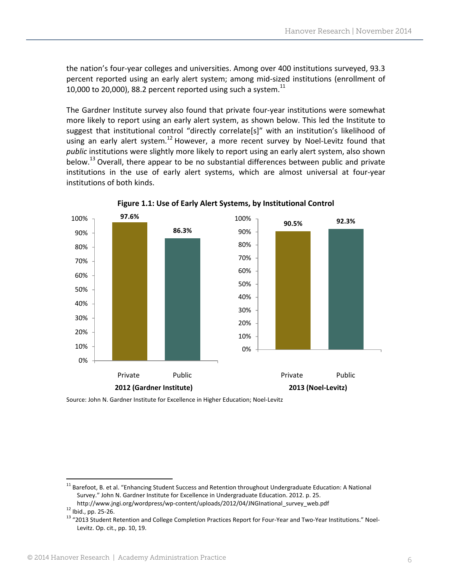the nation's four‐year colleges and universities. Among over 400 institutions surveyed, 93.3 percent reported using an early alert system; among mid‐sized institutions (enrollment of 10,000 to 20,000), 88.2 percent reported using such a system.<sup>11</sup>

The Gardner Institute survey also found that private four‐year institutions were somewhat more likely to report using an early alert system, as shown below. This led the Institute to suggest that institutional control "directly correlate[s]" with an institution's likelihood of using an early alert system.<sup>12</sup> However, a more recent survey by Noel-Levitz found that *public* institutions were slightly more likely to report using an early alert system, also shown below.<sup>13</sup> Overall, there appear to be no substantial differences between public and private institutions in the use of early alert systems, which are almost universal at four‐year institutions of both kinds.



**Figure 1.1: Use of Early Alert Systems, by Institutional Control**

Source: John N. Gardner Institute for Excellence in Higher Education; Noel‐Levitz

<sup>&</sup>lt;sup>11</sup> Barefoot, B. et al. "Enhancing Student Success and Retention throughout Undergraduate Education: A National Survey." John N. Gardner Institute for Excellence in Undergraduate Education. 2012. p. 25.

http://www.jngi.org/wordpress/wp-content/uploads/2012/04/JNGInational\_survey\_web.pdf<br><sup>12</sup> Ibid., pp. 25-26.<br><sup>13</sup> "2013 Student Retention and College Completion Practices Report for Four‐Year and Two‐Year Institutions." Noe Levitz. Op. cit., pp. 10, 19.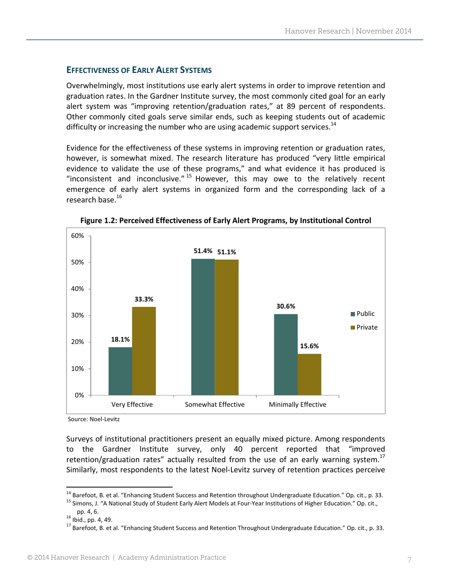#### **EFFECTIVENESS OF EARLY ALERT SYSTEMS**

Overwhelmingly, most institutions use early alert systems in order to improve retention and graduation rates. In the Gardner Institute survey, the most commonly cited goal for an early alert system was "improving retention/graduation rates," at 89 percent of respondents. Other commonly cited goals serve similar ends, such as keeping students out of academic difficulty or increasing the number who are using academic support services. $14$ 

Evidence for the effectiveness of these systems in improving retention or graduation rates, however, is somewhat mixed. The research literature has produced "very little empirical evidence to validate the use of these programs," and what evidence it has produced is "inconsistent and inconclusive."  $15$  However, this may owe to the relatively recent emergence of early alert systems in organized form and the corresponding lack of a research base.<sup>16</sup>



**Figure 1.2: Perceived Effectiveness of Early Alert Programs, by Institutional Control**

Source: Noel‐Levitz

Surveys of institutional practitioners present an equally mixed picture. Among respondents to the Gardner Institute survey, only 40 percent reported that "improved retention/graduation rates" actually resulted from the use of an early warning system.<sup>17</sup> Similarly, most respondents to the latest Noel‐Levitz survey of retention practices perceive

<sup>&</sup>lt;sup>14</sup> Barefoot, B. et al. "Enhancing Student Success and Retention throughout Undergraduate Education." Op. cit., p. 33.<br><sup>15</sup> Simons, J. "A National Study of Student Early Alert Models at Four-Year Institutions of Higher Ed

pp. 4, 6.<br><sup>16</sup> Ibid., pp. 4, 49.<br><sup>17</sup> Barefoot, B. et al. "Enhancing Student Success and Retention Throughout Undergraduate Education." Op. cit., p. 33.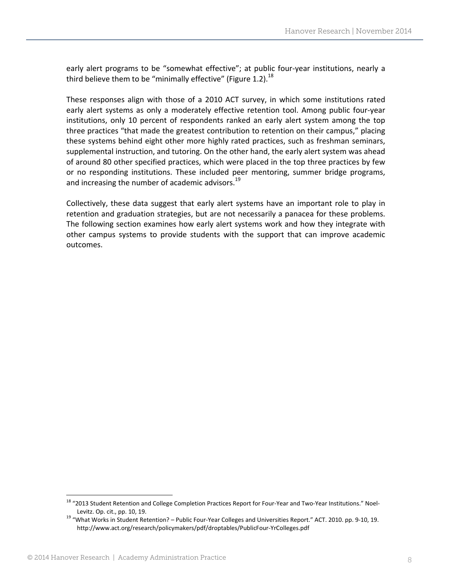early alert programs to be "somewhat effective"; at public four-year institutions, nearly a third believe them to be "minimally effective" (Figure 1.2). $^{18}$ 

These responses align with those of a 2010 ACT survey, in which some institutions rated early alert systems as only a moderately effective retention tool. Among public four‐year institutions, only 10 percent of respondents ranked an early alert system among the top three practices "that made the greatest contribution to retention on their campus," placing these systems behind eight other more highly rated practices, such as freshman seminars, supplemental instruction, and tutoring. On the other hand, the early alert system was ahead of around 80 other specified practices, which were placed in the top three practices by few or no responding institutions. These included peer mentoring, summer bridge programs, and increasing the number of academic advisors.<sup>19</sup>

Collectively, these data suggest that early alert systems have an important role to play in retention and graduation strategies, but are not necessarily a panacea for these problems. The following section examines how early alert systems work and how they integrate with other campus systems to provide students with the support that can improve academic outcomes.

<sup>&</sup>lt;sup>18</sup> "2013 Student Retention and College Completion Practices Report for Four-Year and Two-Year Institutions." Noel-

Levitz. Op. cit., pp. 10, 19. **19.** Levitz. Op. cit., pp. 10, 19. Ig. computed a Public Four-Year Colleges and Universities Report." ACT. 2010. pp. 9-10, 19. Ig. http://www.act.org/research/policymakers/pdf/droptables/PublicFour‐YrColleges.pdf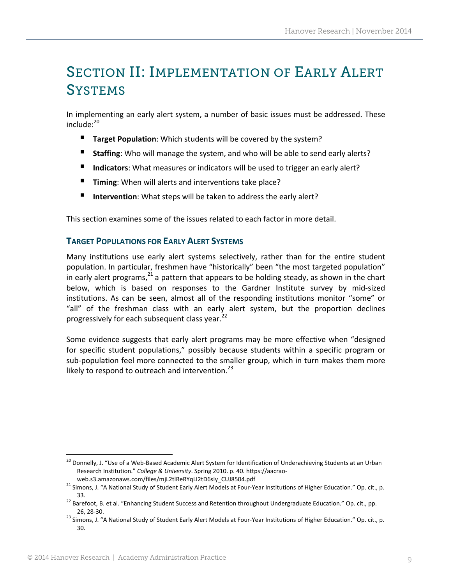## SECTION II: IMPLEMENTATION OF EARLY ALERT **SYSTEMS**

In implementing an early alert system, a number of basic issues must be addressed. These  $include;^{20}$ 

- **Target Population**: Which students will be covered by the system?
- **Staffing**: Who will manage the system, and who will be able to send early alerts?
- Indicators: What measures or indicators will be used to trigger an early alert?
- **Timing**: When will alerts and interventions take place?
- Intervention: What steps will be taken to address the early alert?

This section examines some of the issues related to each factor in more detail.

#### **TARGET POPULATIONS FOR EARLY ALERT SYSTEMS**

Many institutions use early alert systems selectively, rather than for the entire student population. In particular, freshmen have "historically" been "the most targeted population" in early alert programs, $^{21}$  a pattern that appears to be holding steady, as shown in the chart below, which is based on responses to the Gardner Institute survey by mid-sized institutions. As can be seen, almost all of the responding institutions monitor "some" or "all" of the freshman class with an early alert system, but the proportion declines progressively for each subsequent class year.<sup>22</sup>

Some evidence suggests that early alert programs may be more effective when "designed for specific student populations," possibly because students within a specific program or sub-population feel more connected to the smaller group, which in turn makes them more likely to respond to outreach and intervention. $^{23}$ 

<sup>&</sup>lt;sup>20</sup> Donnelly, J. "Use of a Web-Based Academic Alert System for Identification of Underachieving Students at an Urban Research Institution." *College & University*. Spring 2010. p. 40. https://aacrao‐

web.s3.amazonaws.com/files/mjL2tlReRYqLI2tD6sIy\_CUJ8504.pdf<br><sup>21</sup> Simons, J. "A National Study of Student Early Alert Models at Four-Year Institutions of Higher Education." Op. cit., p. 33. <sup>22</sup> Barefoot, B. et al. "Enhancing Student Success and Retention throughout Undergraduate Education." Op. cit., pp.

<sup>26, 28-30.&</sup>lt;br><sup>23</sup> Simons, J. "A National Study of Student Early Alert Models at Four-Year Institutions of Higher Education." Op. cit., p. 30.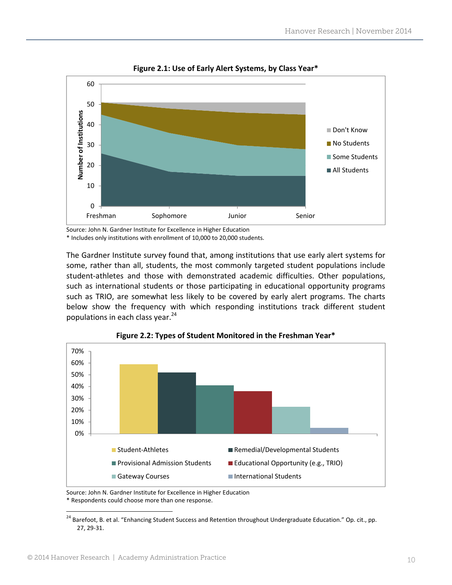

**Figure 2.1: Use of Early Alert Systems, by Class Year\***

Source: John N. Gardner Institute for Excellence in Higher Education

\* Includes only institutions with enrollment of 10,000 to 20,000 students.

The Gardner Institute survey found that, among institutions that use early alert systems for some, rather than all, students, the most commonly targeted student populations include student-athletes and those with demonstrated academic difficulties. Other populations, such as international students or those participating in educational opportunity programs such as TRIO, are somewhat less likely to be covered by early alert programs. The charts below show the frequency with which responding institutions track different student populations in each class year. 24



**Figure 2.2: Types of Student Monitored in the Freshman Year\***

Source: John N. Gardner Institute for Excellence in Higher Education \* Respondents could choose more than one response.

<sup>&</sup>lt;sup>24</sup> Barefoot, B. et al. "Enhancing Student Success and Retention throughout Undergraduate Education." Op. cit., pp. 27, 29‐31.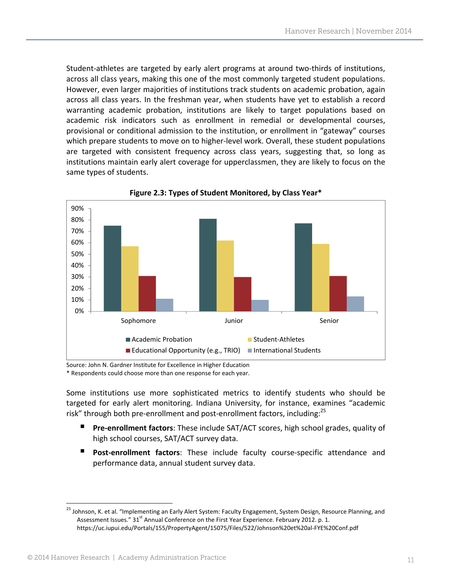Student-athletes are targeted by early alert programs at around two-thirds of institutions, across all class years, making this one of the most commonly targeted student populations. However, even larger majorities of institutions track students on academic probation, again across all class years. In the freshman year, when students have yet to establish a record warranting academic probation, institutions are likely to target populations based on academic risk indicators such as enrollment in remedial or developmental courses, provisional or conditional admission to the institution, or enrollment in "gateway" courses which prepare students to move on to higher-level work. Overall, these student populations are targeted with consistent frequency across class years, suggesting that, so long as institutions maintain early alert coverage for upperclassmen, they are likely to focus on the same types of students.



**Figure 2.3: Types of Student Monitored, by Class Year\***

Source: John N. Gardner Institute for Excellence in Higher Education \* Respondents could choose more than one response for each year.

Some institutions use more sophisticated metrics to identify students who should be targeted for early alert monitoring. Indiana University, for instance, examines "academic risk" through both pre-enrollment and post-enrollment factors, including:<sup>25</sup>

- **Pre-enrollment factors**: These include SAT/ACT scores, high school grades, quality of high school courses, SAT/ACT survey data.
- **Post‐enrollment factors**: These include faculty course‐specific attendance and performance data, annual student survey data.

<sup>&</sup>lt;sup>25</sup> Johnson, K. et al. "Implementing an Early Alert System: Faculty Engagement, System Design, Resource Planning, and Assessment Issues." 31<sup>st</sup> Annual Conference on the First Year Experience. February 2012. p. 1. https://uc.iupui.edu/Portals/155/PropertyAgent/15075/Files/522/Johnson%20et%20al‐FYE%20Conf.pdf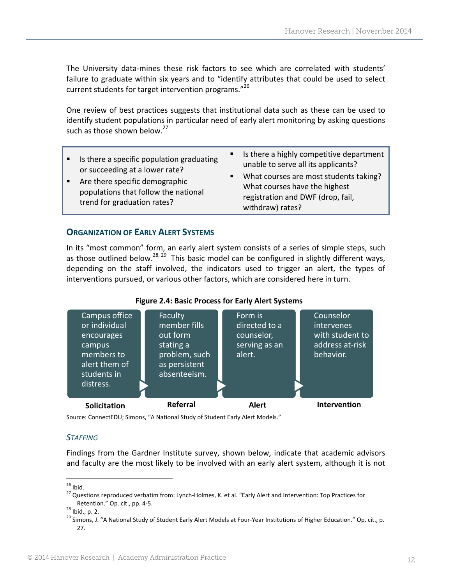The University data-mines these risk factors to see which are correlated with students' failure to graduate within six years and to "identify attributes that could be used to select current students for target intervention programs."<sup>26</sup>

One review of best practices suggests that institutional data such as these can be used to identify student populations in particular need of early alert monitoring by asking questions such as those shown below. $27$ 

| • Is there a specific population graduating<br>or succeeding at a lower rate?<br>Are there specific demographic<br>$\blacksquare$ .<br>populations that follow the national<br>trend for graduation rates? | Is there a highly competitive department<br>$\blacksquare$ .<br>unable to serve all its applicants?<br>What courses are most students taking?<br>п.<br>What courses have the highest<br>registration and DWF (drop, fail,<br>withdraw) rates? |
|------------------------------------------------------------------------------------------------------------------------------------------------------------------------------------------------------------|-----------------------------------------------------------------------------------------------------------------------------------------------------------------------------------------------------------------------------------------------|
|                                                                                                                                                                                                            |                                                                                                                                                                                                                                               |

#### **ORGANIZATION OF EARLY ALERT SYSTEMS**

In its "most common" form, an early alert system consists of a series of simple steps, such as those outlined below.<sup>28, 29</sup> This basic model can be configured in slightly different ways, depending on the staff involved, the indicators used to trigger an alert, the types of interventions pursued, or various other factors, which are considered here in turn.



**Figure 2.4: Basic Process for Early Alert Systems**

Source: ConnectEDU; Simons, "A National Study of Student Early Alert Models."

#### *STAFFING*

Findings from the Gardner Institute survey, shown below, indicate that academic advisors and faculty are the most likely to be involved with an early alert system, although it is not

<sup>&</sup>lt;sup>26</sup> Ibid.<br><sup>27</sup> Questions reproduced verbatim from: Lynch-Holmes, K. et al. "Early Alert and Intervention: Top Practices for

Retention." Op. cit., pp. 4-5.<br><sup>28</sup> Ibid., p. 2.<br><sup>29</sup> Simons, J. "A National Study of Student Early Alert Models at Four-Year Institutions of Higher Education." Op. cit., p. 27.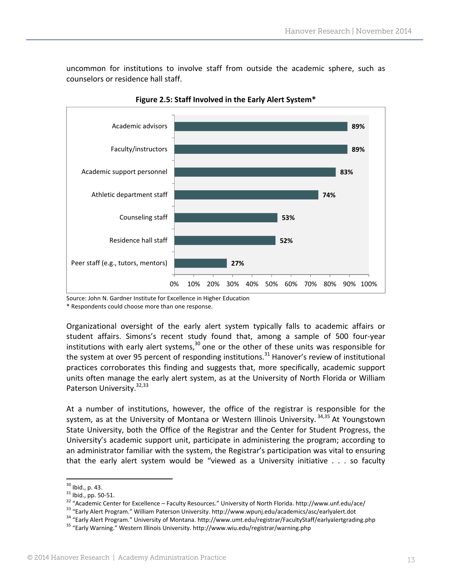uncommon for institutions to involve staff from outside the academic sphere, such as counselors or residence hall staff.



**Figure 2.5: Staff Involved in the Early Alert System\***

Source: John N. Gardner Institute for Excellence in Higher Education

\* Respondents could choose more than one response.

Organizational oversight of the early alert system typically falls to academic affairs or student affairs. Simons's recent study found that, among a sample of 500 four‐year institutions with early alert systems, $30$  one or the other of these units was responsible for the system at over 95 percent of responding institutions.<sup>31</sup> Hanover's review of institutional practices corroborates this finding and suggests that, more specifically, academic support units often manage the early alert system, as at the University of North Florida or William Paterson University.<sup>32,33</sup>

At a number of institutions, however, the office of the registrar is responsible for the system, as at the University of Montana or Western Illinois University.<sup>34,35</sup> At Youngstown State University, both the Office of the Registrar and the Center for Student Progress, the University's academic support unit, participate in administering the program; according to an administrator familiar with the system, the Registrar's participation was vital to ensuring that the early alert system would be "viewed as a University initiative . . . so faculty

<sup>&</sup>lt;sup>30</sup> Ibid., p. 43.<br>
<sup>31</sup> Ibid., pp. 50-51.<br>
<sup>32</sup> "Academic Center for Excellence – Faculty Resources." University of North Florida. http://www.unf.edu/ace/<br>
<sup>32</sup> "Early Alert Program." William Paterson University. http://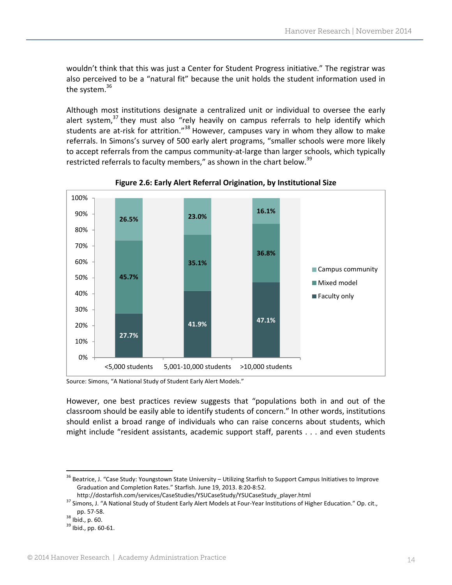wouldn't think that this was just a Center for Student Progress initiative." The registrar was also perceived to be a "natural fit" because the unit holds the student information used in the system.<sup>36</sup>

Although most institutions designate a centralized unit or individual to oversee the early alert system, $37$  they must also "rely heavily on campus referrals to help identify which students are at-risk for attrition."<sup>38</sup> However, campuses vary in whom they allow to make referrals. In Simons's survey of 500 early alert programs, "smaller schools were more likely to accept referrals from the campus community‐at‐large than larger schools, which typically restricted referrals to faculty members," as shown in the chart below.<sup>39</sup>



**Figure 2.6: Early Alert Referral Origination, by Institutional Size**

However, one best practices review suggests that "populations both in and out of the classroom should be easily able to identify students of concern." In other words, institutions should enlist a broad range of individuals who can raise concerns about students, which might include "resident assistants, academic support staff, parents . . . and even students

Source: Simons, "A National Study of Student Early Alert Models."

 <sup>36</sup> Beatrice, J. "Case Study: Youngstown State University – Utilizing Starfish to Support Campus Initiatives to Improve Graduation and Completion Rates." Starfish. June 19, 2013. 8:20‐8:52.

http://dostarfish.com/services/CaseStudies/YSUCaseStudy/YSUCaseStudy\_player.html<br>37 Simons, J. "A National Study of Student Early Alert Models at Four-Year Institutions of Higher Education." Op. cit.,<br>pp. 57-58.

 $38$  Ibid., p. 60.<br> $39$  Ibid., pp. 60-61.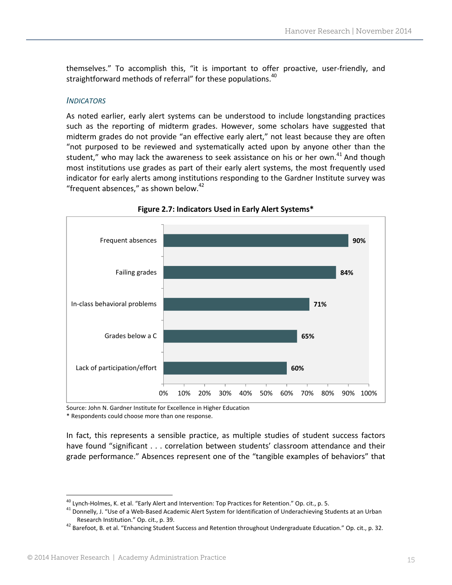themselves." To accomplish this, "it is important to offer proactive, user‐friendly, and straightforward methods of referral" for these populations.<sup>40</sup>

#### *INDICATORS*

As noted earlier, early alert systems can be understood to include longstanding practices such as the reporting of midterm grades. However, some scholars have suggested that midterm grades do not provide "an effective early alert," not least because they are often "not purposed to be reviewed and systematically acted upon by anyone other than the student," who may lack the awareness to seek assistance on his or her own.<sup>41</sup> And though most institutions use grades as part of their early alert systems, the most frequently used indicator for early alerts among institutions responding to the Gardner Institute survey was "frequent absences," as shown below. $42$ 





Source: John N. Gardner Institute for Excellence in Higher Education \* Respondents could choose more than one response.

In fact, this represents a sensible practice, as multiple studies of student success factors have found "significant . . . correlation between students' classroom attendance and their grade performance." Absences represent one of the "tangible examples of behaviors" that

<sup>&</sup>lt;sup>40</sup> Lynch-Holmes, K. et al. "Early Alert and Intervention: Top Practices for Retention." Op. cit., p. 5.

<sup>&</sup>lt;sup>41</sup> Donnelly, J. "Use of a Web-Based Academic Alert System for Identification of Underachieving Students at an Urban Research Institution." Op. cit., p. 39.

<sup>&</sup>lt;sup>42</sup> Barefoot, B. et al. "Enhancing Student Success and Retention throughout Undergraduate Education." Op. cit., p. 32.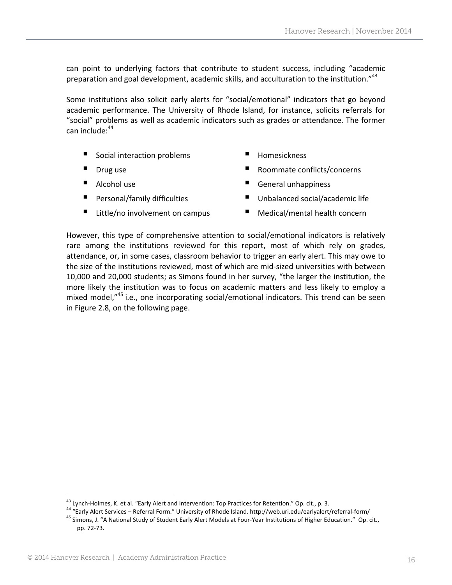can point to underlying factors that contribute to student success, including "academic preparation and goal development, academic skills, and acculturation to the institution."<sup>43</sup>

Some institutions also solicit early alerts for "social/emotional" indicators that go beyond academic performance. The University of Rhode Island, for instance, solicits referrals for "social" problems as well as academic indicators such as grades or attendance. The former can include: $44$ 

- Social interaction problems
- Drug use
- Alcohol use
- Personal/family difficulties
- Little/no involvement on campus
- Homesickness
- Roommate conflicts/concerns
- General unhappiness
- Unbalanced social/academic life
- Medical/mental health concern

However, this type of comprehensive attention to social/emotional indicators is relatively rare among the institutions reviewed for this report, most of which rely on grades, attendance, or, in some cases, classroom behavior to trigger an early alert. This may owe to the size of the institutions reviewed, most of which are mid‐sized universities with between 10,000 and 20,000 students; as Simons found in her survey, "the larger the institution, the more likely the institution was to focus on academic matters and less likely to employ a mixed model,<sup>"45</sup> i.e., one incorporating social/emotional indicators. This trend can be seen in Figure 2.8, on the following page.

<u> 1989 - Johann Barn, mars eta bainar eta industrial eta industrial eta industrial eta industrial eta industria</u>

<sup>&</sup>lt;sup>43</sup> Lynch-Holmes, K. et al. "Early Alert and Intervention: Top Practices for Retention." Op. cit., p. 3.<br><sup>44</sup> "Early Alert Services – Referral Form." University of Rhode Island. http://web.uri.edu/earlyalert/referral-for pp. 72‐73.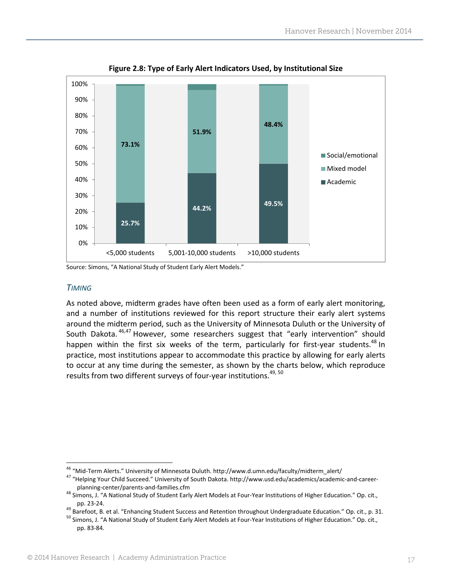

**Figure 2.8: Type of Early Alert Indicators Used, by Institutional Size**

Source: Simons, "A National Study of Student Early Alert Models."

#### *TIMING*

As noted above, midterm grades have often been used as a form of early alert monitoring, and a number of institutions reviewed for this report structure their early alert systems around the midterm period, such as the University of Minnesota Duluth or the University of South Dakota. <sup>46,47</sup> However, some researchers suggest that "early intervention" should happen within the first six weeks of the term, particularly for first-year students.<sup>48</sup> In practice, most institutions appear to accommodate this practice by allowing for early alerts to occur at any time during the semester, as shown by the charts below, which reproduce results from two different surveys of four-year institutions.<sup>49, 50</sup>

<sup>&</sup>lt;sup>46</sup> "Mid-Term Alerts." University of Minnesota Duluth. http://www.d.umn.edu/faculty/midterm\_alert/<br><sup>47</sup> "Helping Your Child Succeed." University of South Dakota. http://www.usd.edu/academics/academic-and-career-

planning‐center/parents‐and‐families.cfm<br><sup>48</sup> Simons, J. "A National Study of Student Early Alert Models at Four‐Year Institutions of Higher Education." Op. cit.,

pp. 23-24.<br><sup>49</sup> Barefoot, B. et al. "Enhancing Student Success and Retention throughout Undergraduate Education." Op. cit., p. 31.<br><sup>50</sup> Simons, J. "A National Study of Student Early Alert Models at Four-Year Institutions pp. 83‐84.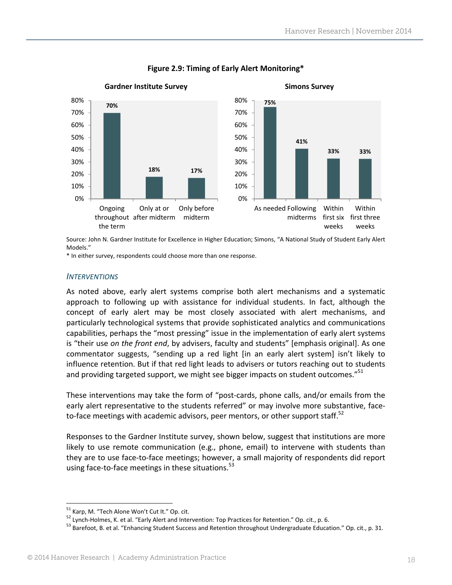

#### **Figure 2.9: Timing of Early Alert Monitoring\***

Source: John N. Gardner Institute for Excellence in Higher Education; Simons, "A National Study of Student Early Alert Models."

\* In either survey, respondents could choose more than one response.

#### *INTERVENTIONS*

As noted above, early alert systems comprise both alert mechanisms and a systematic approach to following up with assistance for individual students. In fact, although the concept of early alert may be most closely associated with alert mechanisms, and particularly technological systems that provide sophisticated analytics and communications capabilities, perhaps the "most pressing" issue in the implementation of early alert systems is "their use *on the front end*, by advisers, faculty and students" [emphasis original]. As one commentator suggests, "sending up a red light [in an early alert system] isn't likely to influence retention. But if that red light leads to advisers or tutors reaching out to students and providing targeted support, we might see bigger impacts on student outcomes."<sup>51</sup>

These interventions may take the form of "post-cards, phone calls, and/or emails from the early alert representative to the students referred" or may involve more substantive, faceto-face meetings with academic advisors, peer mentors, or other support staff.<sup>52</sup>

Responses to the Gardner Institute survey, shown below, suggest that institutions are more likely to use remote communication (e.g., phone, email) to intervene with students than they are to use face‐to‐face meetings; however, a small majority of respondents did report using face-to-face meetings in these situations.<sup>53</sup>

<sup>&</sup>lt;sup>51</sup> Karp, M. "Tech Alone Won't Cut It." Op. cit.<br><sup>52</sup> Lynch-Holmes, K. et al. "Early Alert and Intervention: Top Practices for Retention." Op. cit., p. 6.<br><sup>53</sup> Barefoot, B. et al. "Enhancing Student Success and Retention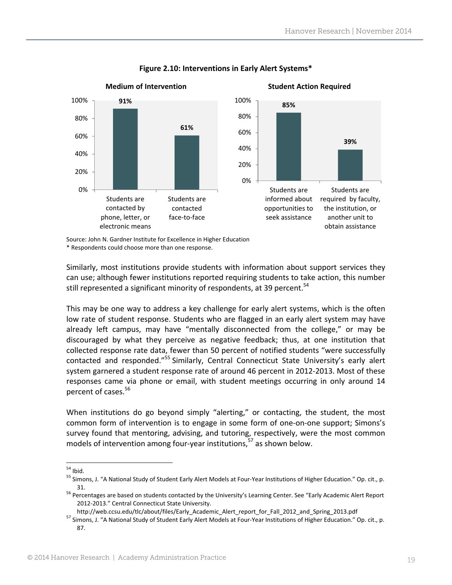

#### **Figure 2.10: Interventions in Early Alert Systems\***

Source: John N. Gardner Institute for Excellence in Higher Education \* Respondents could choose more than one response.

Similarly, most institutions provide students with information about support services they can use; although fewer institutions reported requiring students to take action, this number still represented a significant minority of respondents, at 39 percent.<sup>54</sup>

This may be one way to address a key challenge for early alert systems, which is the often low rate of student response. Students who are flagged in an early alert system may have already left campus, may have "mentally disconnected from the college," or may be discouraged by what they perceive as negative feedback; thus, at one institution that collected response rate data, fewer than 50 percent of notified students "were successfully contacted and responded."<sup>55</sup> Similarly, Central Connecticut State University's early alert system garnered a student response rate of around 46 percent in 2012‐2013. Most of these responses came via phone or email, with student meetings occurring in only around 14 percent of cases. <sup>56</sup>

When institutions do go beyond simply "alerting," or contacting, the student, the most common form of intervention is to engage in some form of one‐on‐one support; Simons's survey found that mentoring, advising, and tutoring, respectively, were the most common models of intervention among four-year institutions, $57$  as shown below.

<sup>&</sup>lt;sup>54</sup> Ibid.<br><sup>55</sup> Simons, J. "A National Study of Student Early Alert Models at Four-Year Institutions of Higher Education." Op. cit., p.

<sup>&</sup>lt;sup>56</sup> Percentages are based on students contacted by the University's Learning Center. See "Early Academic Alert Report 2012‐2013." Central Connecticut State University.

http://web.ccsu.edu/tlc/about/files/Early\_Academic\_Alert\_report\_for\_Fall\_2012\_and\_Spring\_2013.pdf 57 Simons, J. "A National Study of Student Early Alert Models at Four-Year Institutions of Higher Education." Op. cit., p. 87.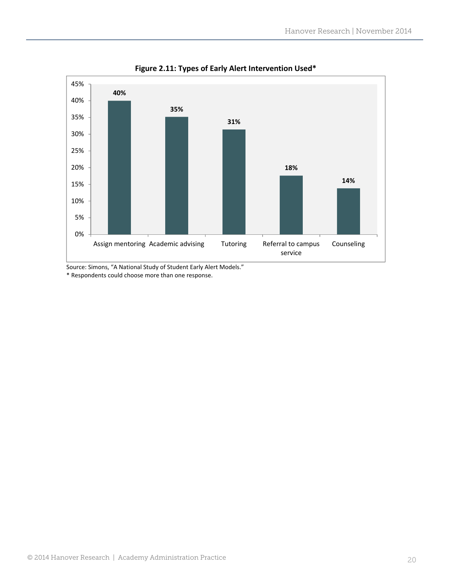

**Figure 2.11: Types of Early Alert Intervention Used\***

Source: Simons, "A National Study of Student Early Alert Models." \* Respondents could choose more than one response.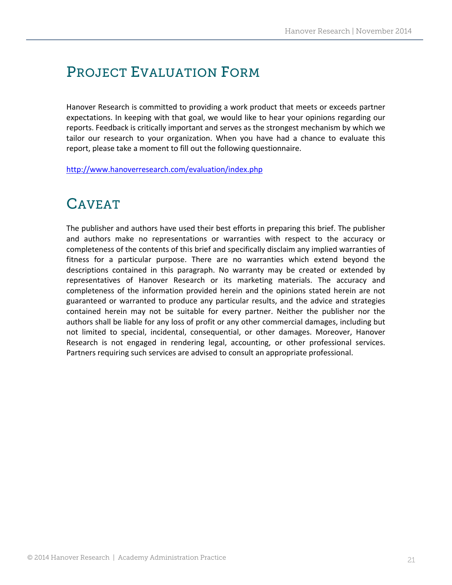### PROJECT EVALUATION FORM

Hanover Research is committed to providing a work product that meets or exceeds partner expectations. In keeping with that goal, we would like to hear your opinions regarding our reports. Feedback is critically important and serves as the strongest mechanism by which we tailor our research to your organization. When you have had a chance to evaluate this report, please take a moment to fill out the following questionnaire.

http://www.hanoverresearch.com/evaluation/index.php

### CAVEAT

The publisher and authors have used their best efforts in preparing this brief. The publisher and authors make no representations or warranties with respect to the accuracy or completeness of the contents of this brief and specifically disclaim any implied warranties of fitness for a particular purpose. There are no warranties which extend beyond the descriptions contained in this paragraph. No warranty may be created or extended by representatives of Hanover Research or its marketing materials. The accuracy and completeness of the information provided herein and the opinions stated herein are not guaranteed or warranted to produce any particular results, and the advice and strategies contained herein may not be suitable for every partner. Neither the publisher nor the authors shall be liable for any loss of profit or any other commercial damages, including but not limited to special, incidental, consequential, or other damages. Moreover, Hanover Research is not engaged in rendering legal, accounting, or other professional services. Partners requiring such services are advised to consult an appropriate professional.